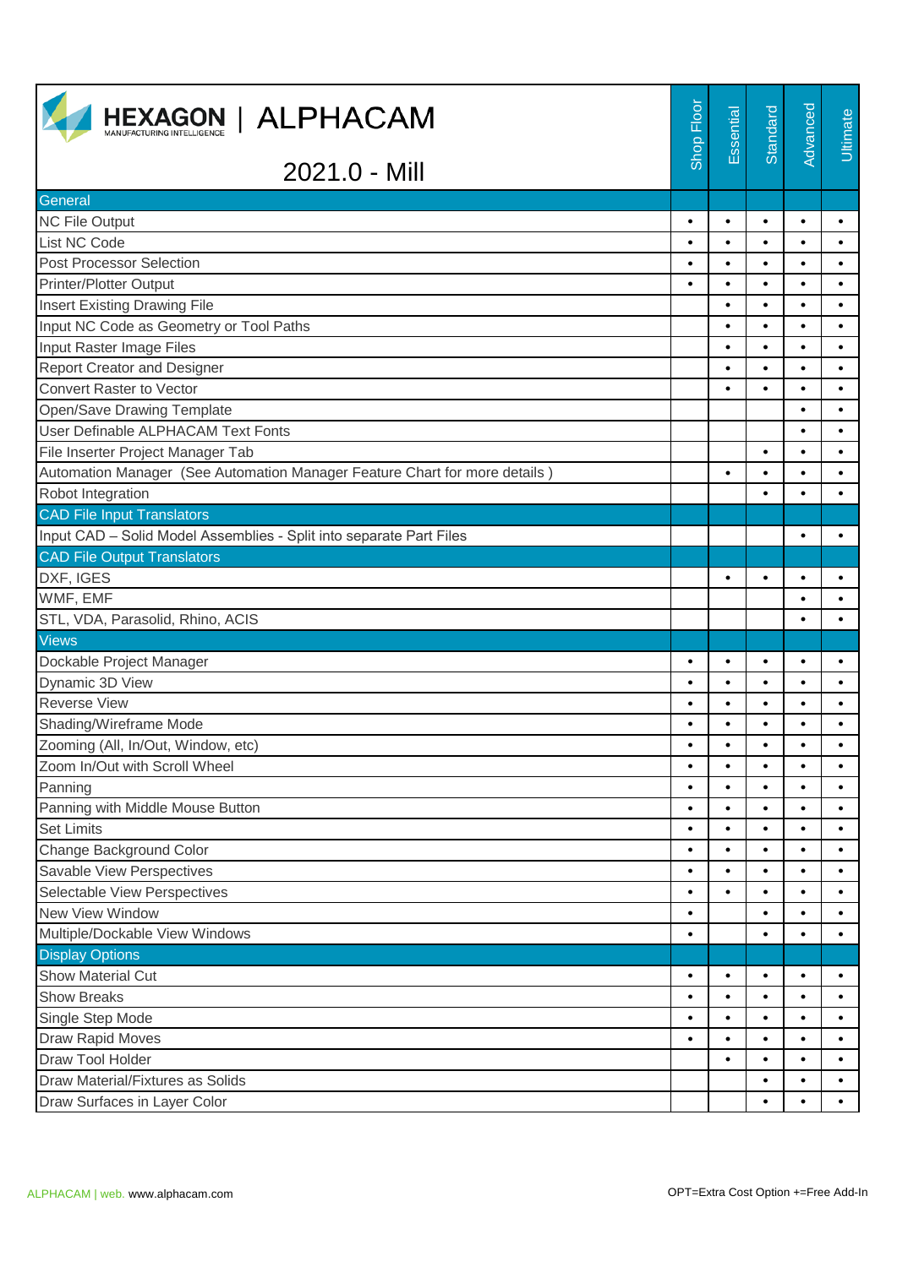| <b>HEXAGON   ALPHACAM</b>                                                  | Shop Floor | Essential | Standard  | Advanced  | Ultimate  |
|----------------------------------------------------------------------------|------------|-----------|-----------|-----------|-----------|
| 2021.0 - Mill                                                              |            |           |           |           |           |
| General                                                                    |            |           |           |           |           |
| <b>NC File Output</b>                                                      | $\bullet$  | $\bullet$ | $\bullet$ | $\bullet$ | $\bullet$ |
| List NC Code                                                               | $\bullet$  | $\bullet$ | $\bullet$ | $\bullet$ | $\bullet$ |
| <b>Post Processor Selection</b>                                            | $\bullet$  | $\bullet$ | $\bullet$ | $\bullet$ | $\bullet$ |
| <b>Printer/Plotter Output</b>                                              | $\bullet$  | $\bullet$ | $\bullet$ | $\bullet$ | $\bullet$ |
| <b>Insert Existing Drawing File</b>                                        |            | $\bullet$ | $\bullet$ | $\bullet$ | $\bullet$ |
| Input NC Code as Geometry or Tool Paths                                    |            | $\bullet$ | $\bullet$ | $\bullet$ | $\bullet$ |
| Input Raster Image Files                                                   |            | $\bullet$ | $\bullet$ | $\bullet$ | $\bullet$ |
| <b>Report Creator and Designer</b>                                         |            | $\bullet$ | $\bullet$ | $\bullet$ | $\bullet$ |
| <b>Convert Raster to Vector</b>                                            |            | $\bullet$ | $\bullet$ | $\bullet$ | $\bullet$ |
| Open/Save Drawing Template                                                 |            |           |           | $\bullet$ | $\bullet$ |
| User Definable ALPHACAM Text Fonts                                         |            |           |           | $\bullet$ | $\bullet$ |
| File Inserter Project Manager Tab                                          |            |           | $\bullet$ | $\bullet$ | $\bullet$ |
| Automation Manager (See Automation Manager Feature Chart for more details) |            | $\bullet$ | $\bullet$ | $\bullet$ |           |
| Robot Integration                                                          |            |           | $\bullet$ | $\bullet$ | $\bullet$ |
| <b>CAD File Input Translators</b>                                          |            |           |           |           |           |
| Input CAD - Solid Model Assemblies - Split into separate Part Files        |            |           |           | $\bullet$ |           |
| <b>CAD File Output Translators</b>                                         |            |           |           |           |           |
| DXF, IGES                                                                  |            | $\bullet$ | $\bullet$ | $\bullet$ | $\bullet$ |
| WMF, EMF                                                                   |            |           |           | $\bullet$ |           |
| STL, VDA, Parasolid, Rhino, ACIS                                           |            |           |           | $\bullet$ | $\bullet$ |
| <b>Views</b>                                                               |            |           |           |           |           |
| Dockable Project Manager                                                   | $\bullet$  | $\bullet$ | $\bullet$ | $\bullet$ | $\bullet$ |
| Dynamic 3D View                                                            | $\bullet$  | $\bullet$ | $\bullet$ | $\bullet$ | $\bullet$ |
| <b>Reverse View</b>                                                        | $\bullet$  | $\bullet$ | $\bullet$ | $\bullet$ | $\bullet$ |
| Shading/Wireframe Mode                                                     | $\bullet$  | $\bullet$ | $\bullet$ | $\bullet$ | $\bullet$ |
| Zooming (All, In/Out, Window, etc)                                         |            |           |           |           |           |
| Zoom In/Out with Scroll Wheel                                              | $\bullet$  | $\bullet$ | $\bullet$ | $\bullet$ | $\bullet$ |
| Panning                                                                    | $\bullet$  | $\bullet$ | $\bullet$ | $\bullet$ | $\bullet$ |
| Panning with Middle Mouse Button                                           | $\bullet$  | $\bullet$ | $\bullet$ | $\bullet$ | $\bullet$ |
| <b>Set Limits</b>                                                          | $\bullet$  | $\bullet$ | $\bullet$ | $\bullet$ | $\bullet$ |
| Change Background Color                                                    | $\bullet$  | $\bullet$ | $\bullet$ | $\bullet$ | $\bullet$ |
| Savable View Perspectives                                                  | $\bullet$  | $\bullet$ | $\bullet$ | $\bullet$ | $\bullet$ |
| Selectable View Perspectives                                               | $\bullet$  | $\bullet$ | $\bullet$ | $\bullet$ | $\bullet$ |
| New View Window                                                            | $\bullet$  |           | $\bullet$ | $\bullet$ | $\bullet$ |
| Multiple/Dockable View Windows                                             | $\bullet$  |           | $\bullet$ | $\bullet$ | $\bullet$ |
| <b>Display Options</b>                                                     |            |           |           |           |           |
| <b>Show Material Cut</b>                                                   | $\bullet$  | $\bullet$ | $\bullet$ | $\bullet$ | $\bullet$ |
| <b>Show Breaks</b>                                                         | $\bullet$  | $\bullet$ | $\bullet$ | $\bullet$ | $\bullet$ |
| Single Step Mode                                                           | $\bullet$  | $\bullet$ | $\bullet$ | $\bullet$ | $\bullet$ |
| Draw Rapid Moves                                                           | $\bullet$  | $\bullet$ | $\bullet$ | $\bullet$ | $\bullet$ |
| Draw Tool Holder                                                           |            | $\bullet$ | $\bullet$ | $\bullet$ |           |
| Draw Material/Fixtures as Solids                                           |            |           | $\bullet$ | $\bullet$ | $\bullet$ |
| Draw Surfaces in Layer Color                                               |            |           | $\bullet$ | $\bullet$ | $\bullet$ |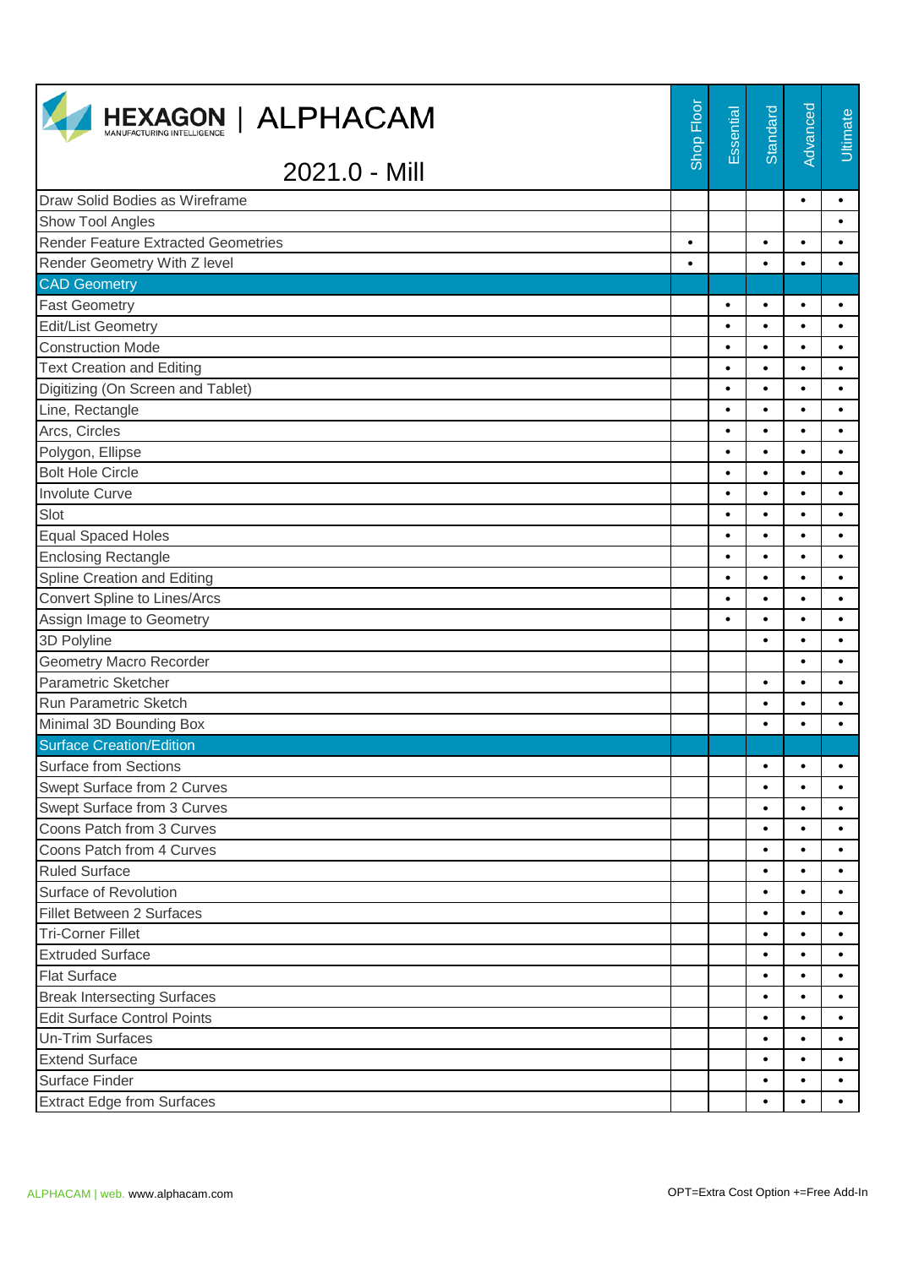| <b>HEXAGON   ALPHACAM</b>                  | Shop Floor | Essential | Standard  | Advanced  | Ultimate  |
|--------------------------------------------|------------|-----------|-----------|-----------|-----------|
| 2021.0 - Mill                              |            |           |           |           |           |
| Draw Solid Bodies as Wireframe             |            |           |           | $\bullet$ | $\bullet$ |
| Show Tool Angles                           |            |           |           |           | $\bullet$ |
| <b>Render Feature Extracted Geometries</b> | $\bullet$  |           | $\bullet$ | $\bullet$ | $\bullet$ |
| Render Geometry With Z level               | $\bullet$  |           | $\bullet$ | $\bullet$ | $\bullet$ |
| <b>CAD Geometry</b>                        |            |           |           |           |           |
| <b>Fast Geometry</b>                       |            | $\bullet$ | $\bullet$ | $\bullet$ | $\bullet$ |
| <b>Edit/List Geometry</b>                  |            | $\bullet$ | $\bullet$ | $\bullet$ | $\bullet$ |
| <b>Construction Mode</b>                   |            | $\bullet$ | $\bullet$ | $\bullet$ | $\bullet$ |
| <b>Text Creation and Editing</b>           |            | $\bullet$ | $\bullet$ | $\bullet$ | $\bullet$ |
| Digitizing (On Screen and Tablet)          |            | $\bullet$ | $\bullet$ | $\bullet$ | $\bullet$ |
| Line, Rectangle                            |            | $\bullet$ | $\bullet$ | $\bullet$ | $\bullet$ |
| Arcs, Circles                              |            | $\bullet$ | $\bullet$ | $\bullet$ | $\bullet$ |
| Polygon, Ellipse                           |            | $\bullet$ | $\bullet$ | $\bullet$ | $\bullet$ |
| <b>Bolt Hole Circle</b>                    |            | $\bullet$ | $\bullet$ | $\bullet$ | $\bullet$ |
| <b>Involute Curve</b>                      |            | $\bullet$ | $\bullet$ | $\bullet$ | $\bullet$ |
| Slot                                       |            | $\bullet$ | $\bullet$ | $\bullet$ | $\bullet$ |
| <b>Equal Spaced Holes</b>                  |            | $\bullet$ | $\bullet$ | $\bullet$ | $\bullet$ |
| <b>Enclosing Rectangle</b>                 |            | $\bullet$ | $\bullet$ | $\bullet$ | $\bullet$ |
| Spline Creation and Editing                |            | $\bullet$ | $\bullet$ | $\bullet$ | $\bullet$ |
| <b>Convert Spline to Lines/Arcs</b>        |            | $\bullet$ | $\bullet$ | $\bullet$ | $\bullet$ |
| Assign Image to Geometry                   |            | $\bullet$ | $\bullet$ | $\bullet$ | $\bullet$ |
| 3D Polyline                                |            |           | $\bullet$ | $\bullet$ | $\bullet$ |
| <b>Geometry Macro Recorder</b>             |            |           |           | $\bullet$ | $\bullet$ |
| Parametric Sketcher                        |            |           | $\bullet$ | $\bullet$ | $\bullet$ |
| Run Parametric Sketch                      |            |           | $\bullet$ | $\bullet$ | $\bullet$ |
| Minimal 3D Bounding Box                    |            |           | $\bullet$ | $\bullet$ | $\bullet$ |
| <b>Surface Creation/Edition</b>            |            |           |           |           |           |
| <b>Surface from Sections</b>               |            |           | $\bullet$ | $\bullet$ | $\bullet$ |
| Swept Surface from 2 Curves                |            |           | $\bullet$ | $\bullet$ | $\bullet$ |
| Swept Surface from 3 Curves                |            |           | $\bullet$ | $\bullet$ |           |
| Coons Patch from 3 Curves                  |            |           | $\bullet$ | $\bullet$ | $\bullet$ |
| Coons Patch from 4 Curves                  |            |           | $\bullet$ | $\bullet$ | $\bullet$ |
| <b>Ruled Surface</b>                       |            |           | $\bullet$ | $\bullet$ | $\bullet$ |
| Surface of Revolution                      |            |           | $\bullet$ | $\bullet$ | $\bullet$ |
| <b>Fillet Between 2 Surfaces</b>           |            |           | $\bullet$ | $\bullet$ | $\bullet$ |
| <b>Tri-Corner Fillet</b>                   |            |           | $\bullet$ | $\bullet$ | $\bullet$ |
| <b>Extruded Surface</b>                    |            |           | $\bullet$ | $\bullet$ | $\bullet$ |
| <b>Flat Surface</b>                        |            |           | $\bullet$ | $\bullet$ | $\bullet$ |
| <b>Break Intersecting Surfaces</b>         |            |           | $\bullet$ | $\bullet$ | $\bullet$ |
| <b>Edit Surface Control Points</b>         |            |           | $\bullet$ | $\bullet$ | $\bullet$ |
| Un-Trim Surfaces                           |            |           | $\bullet$ | $\bullet$ | $\bullet$ |
| <b>Extend Surface</b>                      |            |           | $\bullet$ | $\bullet$ | $\bullet$ |
| Surface Finder                             |            |           | $\bullet$ | ٠         | $\bullet$ |
| <b>Extract Edge from Surfaces</b>          |            |           | $\bullet$ | $\bullet$ | $\bullet$ |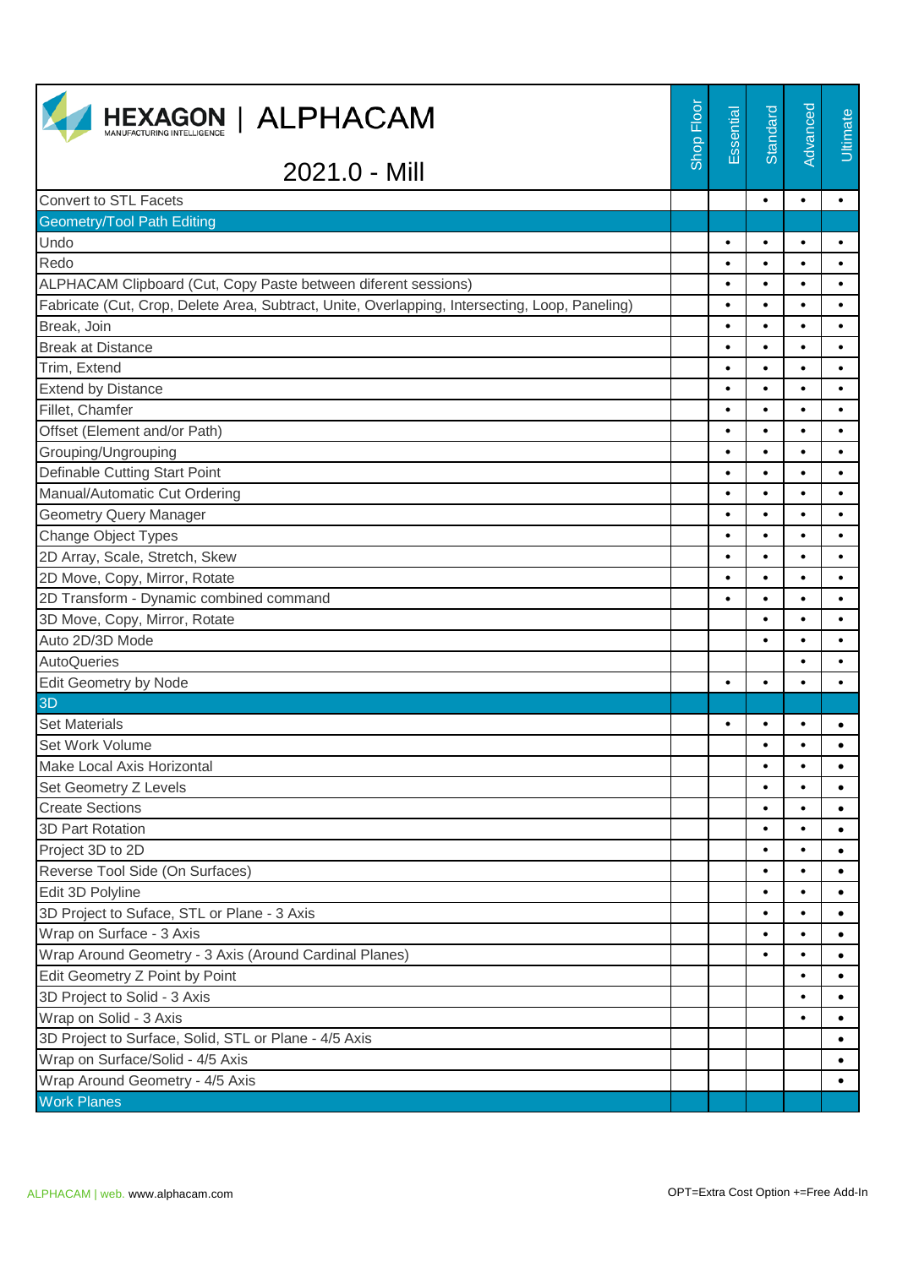| <b>HEXAGON   ALPHACAM</b>                                                                      | Shop Floor | Essential | Standard  | Advanced  | Ultimate  |
|------------------------------------------------------------------------------------------------|------------|-----------|-----------|-----------|-----------|
| 2021.0 - Mill                                                                                  |            |           |           |           |           |
| <b>Convert to STL Facets</b>                                                                   |            |           | $\bullet$ | $\bullet$ | $\bullet$ |
| <b>Geometry/Tool Path Editing</b>                                                              |            |           |           |           |           |
| Undo                                                                                           |            | ٠         | $\bullet$ | $\bullet$ | $\bullet$ |
| Redo                                                                                           |            | $\bullet$ | $\bullet$ | $\bullet$ | $\bullet$ |
| ALPHACAM Clipboard (Cut, Copy Paste between diferent sessions)                                 |            | $\bullet$ | $\bullet$ | $\bullet$ | $\bullet$ |
| Fabricate (Cut, Crop, Delete Area, Subtract, Unite, Overlapping, Intersecting, Loop, Paneling) |            | $\bullet$ | $\bullet$ | $\bullet$ | $\bullet$ |
| Break, Join                                                                                    |            | ٠         | $\bullet$ | $\bullet$ | $\bullet$ |
| <b>Break at Distance</b>                                                                       |            | ٠         | $\bullet$ | $\bullet$ | $\bullet$ |
| Trim, Extend                                                                                   |            | ٠         | $\bullet$ | $\bullet$ | $\bullet$ |
| <b>Extend by Distance</b>                                                                      |            | $\bullet$ | $\bullet$ | $\bullet$ | $\bullet$ |
| Fillet, Chamfer                                                                                |            | $\bullet$ | $\bullet$ | $\bullet$ | $\bullet$ |
| Offset (Element and/or Path)                                                                   |            | $\bullet$ | $\bullet$ | $\bullet$ | $\bullet$ |
| Grouping/Ungrouping                                                                            |            | $\bullet$ | $\bullet$ | $\bullet$ | $\bullet$ |
| Definable Cutting Start Point                                                                  |            | ٠         | $\bullet$ | $\bullet$ | $\bullet$ |
| Manual/Automatic Cut Ordering                                                                  |            | $\bullet$ | $\bullet$ | $\bullet$ | $\bullet$ |
| <b>Geometry Query Manager</b>                                                                  |            | $\bullet$ | $\bullet$ | $\bullet$ | $\bullet$ |
| <b>Change Object Types</b>                                                                     |            |           | $\bullet$ | $\bullet$ | $\bullet$ |
| 2D Array, Scale, Stretch, Skew                                                                 |            | $\bullet$ | $\bullet$ | $\bullet$ | $\bullet$ |
| 2D Move, Copy, Mirror, Rotate                                                                  |            | ٠         | $\bullet$ | $\bullet$ | $\bullet$ |
| 2D Transform - Dynamic combined command                                                        |            | $\bullet$ | $\bullet$ | $\bullet$ | $\bullet$ |
| 3D Move, Copy, Mirror, Rotate                                                                  |            |           | $\bullet$ | $\bullet$ | $\bullet$ |
| Auto 2D/3D Mode                                                                                |            |           | $\bullet$ | $\bullet$ | $\bullet$ |
| AutoQueries                                                                                    |            |           |           | $\bullet$ |           |
| Edit Geometry by Node                                                                          |            | $\bullet$ | $\bullet$ | $\bullet$ | $\bullet$ |
| 3D                                                                                             |            |           |           |           |           |
| <b>Set Materials</b>                                                                           |            | ٠         | $\bullet$ |           |           |
| Set Work Volume                                                                                |            |           | $\bullet$ |           | $\bullet$ |
| Make Local Axis Horizontal                                                                     |            |           | $\bullet$ | $\bullet$ | $\bullet$ |
| Set Geometry Z Levels                                                                          |            |           | $\bullet$ |           |           |
| <b>Create Sections</b>                                                                         |            |           | $\bullet$ | $\bullet$ | $\bullet$ |
| 3D Part Rotation                                                                               |            |           | $\bullet$ | $\bullet$ | $\bullet$ |
| Project 3D to 2D                                                                               |            |           | $\bullet$ | $\bullet$ | $\bullet$ |
| Reverse Tool Side (On Surfaces)                                                                |            |           | $\bullet$ | $\bullet$ | $\bullet$ |
| Edit 3D Polyline                                                                               |            |           | $\bullet$ | $\bullet$ | $\bullet$ |
| 3D Project to Suface, STL or Plane - 3 Axis                                                    |            |           | $\bullet$ | $\bullet$ | $\bullet$ |
| Wrap on Surface - 3 Axis                                                                       |            |           | $\bullet$ | $\bullet$ | ٠         |
| Wrap Around Geometry - 3 Axis (Around Cardinal Planes)                                         |            |           | $\bullet$ | $\bullet$ | $\bullet$ |
| Edit Geometry Z Point by Point                                                                 |            |           |           |           | $\bullet$ |
| 3D Project to Solid - 3 Axis                                                                   |            |           |           | ٠         | $\bullet$ |
| Wrap on Solid - 3 Axis                                                                         |            |           |           | $\bullet$ | $\bullet$ |
| 3D Project to Surface, Solid, STL or Plane - 4/5 Axis                                          |            |           |           |           | $\bullet$ |
| Wrap on Surface/Solid - 4/5 Axis                                                               |            |           |           |           | $\bullet$ |
| Wrap Around Geometry - 4/5 Axis                                                                |            |           |           |           | $\bullet$ |
| <b>Work Planes</b>                                                                             |            |           |           |           |           |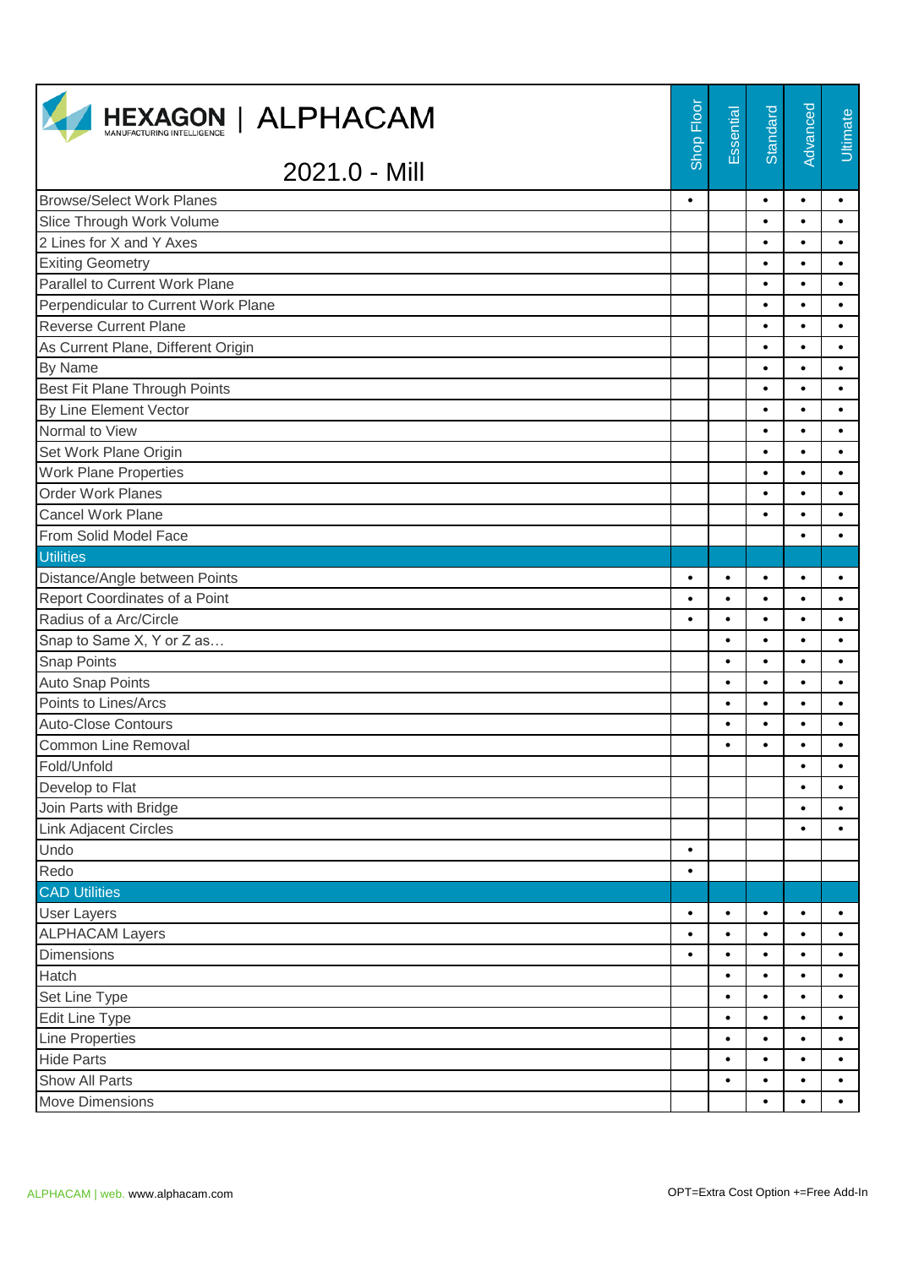| <b>HEXAGON   ALPHACAM</b>                   | Shop Floor | Essential      | Standard               | Advanced               | Ultimate               |
|---------------------------------------------|------------|----------------|------------------------|------------------------|------------------------|
| 2021.0 - Mill                               |            |                |                        |                        |                        |
| <b>Browse/Select Work Planes</b>            | $\bullet$  |                | $\bullet$              | $\bullet$              | $\bullet$              |
| Slice Through Work Volume                   |            |                | $\bullet$              | $\bullet$              | $\bullet$              |
| 2 Lines for X and Y Axes                    |            |                | $\bullet$              | $\bullet$              | $\bullet$              |
| <b>Exiting Geometry</b>                     |            |                | $\bullet$              | $\bullet$              | $\bullet$              |
| Parallel to Current Work Plane              |            |                | $\bullet$              | $\bullet$              | $\bullet$              |
| Perpendicular to Current Work Plane         |            |                | $\bullet$              | $\bullet$              | $\bullet$              |
| <b>Reverse Current Plane</b>                |            |                | $\bullet$              | $\bullet$              | $\bullet$              |
| As Current Plane, Different Origin          |            |                | $\bullet$              | $\bullet$              | $\bullet$              |
| By Name                                     |            |                | $\bullet$              | $\bullet$              | $\bullet$              |
| Best Fit Plane Through Points               |            |                | $\bullet$              | $\bullet$              | $\bullet$              |
| By Line Element Vector                      |            |                | $\bullet$              | $\bullet$              | $\bullet$              |
| Normal to View                              |            |                | $\bullet$              | $\bullet$              | $\bullet$              |
| Set Work Plane Origin                       |            |                | $\bullet$              | $\bullet$              | $\bullet$              |
| <b>Work Plane Properties</b>                |            |                | $\bullet$              | $\bullet$              | $\bullet$              |
| <b>Order Work Planes</b>                    |            |                | $\bullet$              | $\bullet$              | $\bullet$              |
| <b>Cancel Work Plane</b>                    |            |                | $\bullet$              | $\bullet$              | $\bullet$              |
| From Solid Model Face                       |            |                |                        | $\bullet$              | $\bullet$              |
| <b>Utilities</b>                            |            |                |                        |                        |                        |
| Distance/Angle between Points               | $\bullet$  | $\bullet$      | $\bullet$              | $\bullet$              | $\bullet$              |
| Report Coordinates of a Point               | $\bullet$  | $\bullet$      | $\bullet$              | $\bullet$              | $\bullet$              |
| Radius of a Arc/Circle                      | $\bullet$  | $\bullet$      | $\bullet$              | $\bullet$              | $\bullet$              |
| Snap to Same X, Y or Z as                   |            | ٠              | $\bullet$              | $\bullet$              | $\bullet$              |
| <b>Snap Points</b>                          |            | $\bullet$      | $\bullet$              | $\bullet$              | $\bullet$              |
| <b>Auto Snap Points</b>                     |            | ٠              | $\bullet$              | $\bullet$              | $\bullet$              |
| Points to Lines/Arcs                        |            | ٠              | $\bullet$              | $\bullet$              | $\bullet$              |
| <b>Auto-Close Contours</b>                  |            | $\bullet$      | $\bullet$              | $\bullet$              | $\bullet$              |
| <b>Common Line Removal</b>                  |            |                | $\bullet$              |                        | $\bullet$              |
| Fold/Unfold                                 |            |                |                        | $\bullet$              | $\bullet$              |
| Develop to Flat                             |            |                |                        | $\bullet$              | $\bullet$              |
| Join Parts with Bridge                      |            |                |                        | ٠                      | $\bullet$              |
| <b>Link Adjacent Circles</b>                |            |                |                        | $\bullet$              | $\bullet$              |
| Undo                                        | $\bullet$  |                |                        |                        |                        |
| Redo                                        | $\bullet$  |                |                        |                        |                        |
| <b>CAD Utilities</b>                        |            |                |                        |                        |                        |
| <b>User Layers</b>                          | $\bullet$  | $\bullet$      | $\bullet$              | $\bullet$              | $\bullet$              |
| <b>ALPHACAM Layers</b><br><b>Dimensions</b> | $\bullet$  | ٠              | $\bullet$              | $\bullet$              | $\bullet$              |
| Hatch                                       | $\bullet$  | $\bullet$      | $\bullet$              | $\bullet$              | $\bullet$              |
|                                             |            | ٠              | $\bullet$              | $\bullet$              | $\bullet$              |
| Set Line Type                               |            | ٠<br>$\bullet$ | $\bullet$<br>$\bullet$ | $\bullet$<br>$\bullet$ | $\bullet$              |
| Edit Line Type                              |            |                |                        |                        | $\bullet$              |
| <b>Line Properties</b><br><b>Hide Parts</b> |            | ٠<br>٠         | $\bullet$<br>$\bullet$ | $\bullet$<br>$\bullet$ | $\bullet$<br>$\bullet$ |
| Show All Parts                              |            | ٠              | $\bullet$              | $\bullet$              | $\bullet$              |
| Move Dimensions                             |            |                |                        | $\bullet$              |                        |
|                                             |            |                | $\bullet$              |                        | $\bullet$              |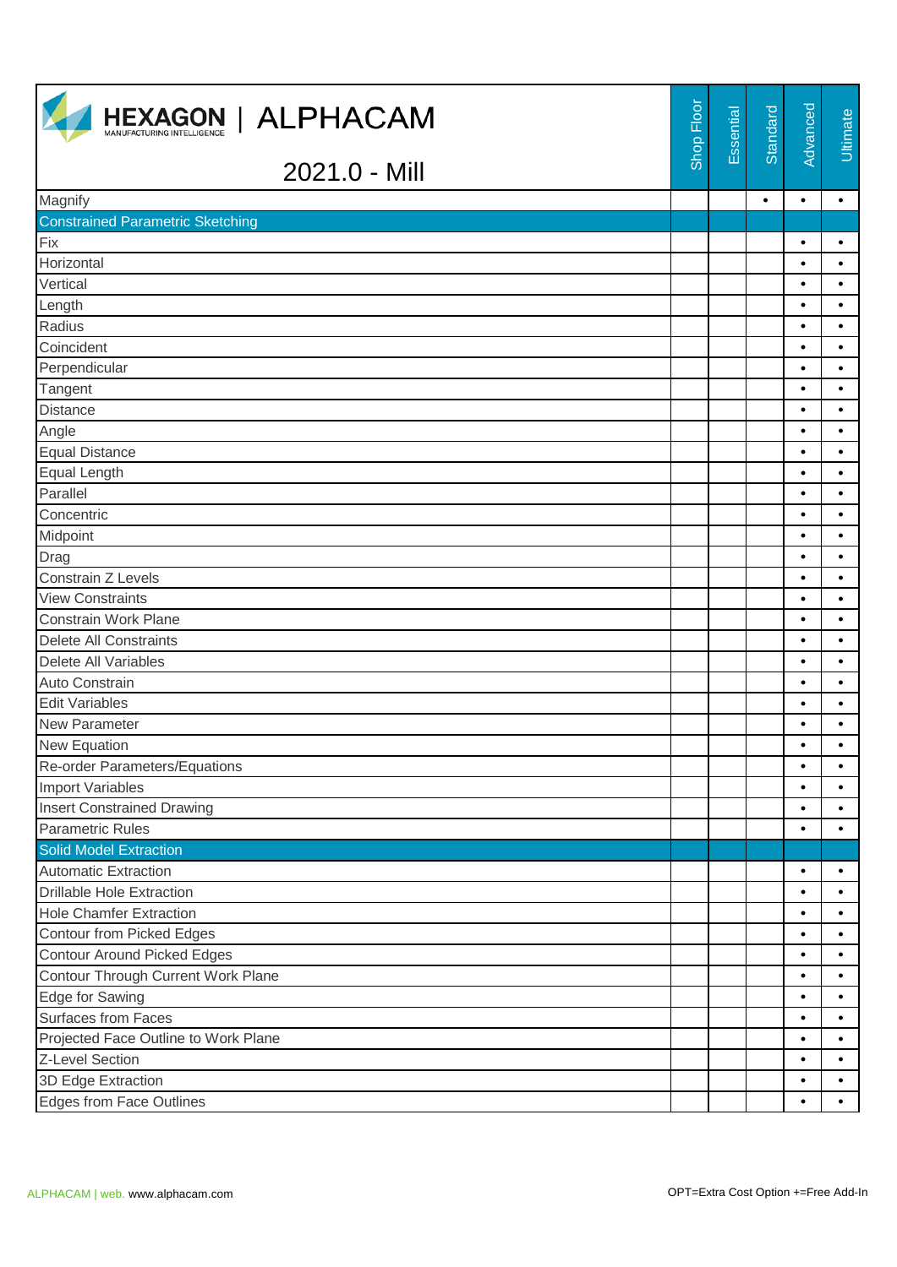| <b>HEXAGON   ALPHACAM</b><br>MANUFACTURING INTELLIGENCE | Shop Floor | Essential | Standard  | Advanced  | Ultimate  |
|---------------------------------------------------------|------------|-----------|-----------|-----------|-----------|
| 2021.0 - Mill                                           |            |           |           |           |           |
| Magnify                                                 |            |           | $\bullet$ | $\bullet$ | $\bullet$ |
| <b>Constrained Parametric Sketching</b>                 |            |           |           |           |           |
| Fix                                                     |            |           |           | $\bullet$ | $\bullet$ |
| Horizontal                                              |            |           |           | $\bullet$ | $\bullet$ |
| Vertical                                                |            |           |           | $\bullet$ | $\bullet$ |
| Length                                                  |            |           |           | $\bullet$ | $\bullet$ |
| Radius                                                  |            |           |           | $\bullet$ | $\bullet$ |
| Coincident                                              |            |           |           | $\bullet$ | $\bullet$ |
| Perpendicular                                           |            |           |           | $\bullet$ | $\bullet$ |
| Tangent                                                 |            |           |           | $\bullet$ | $\bullet$ |
| <b>Distance</b>                                         |            |           |           | $\bullet$ | $\bullet$ |
| Angle                                                   |            |           |           | $\bullet$ | $\bullet$ |
| <b>Equal Distance</b>                                   |            |           |           | $\bullet$ | $\bullet$ |
| Equal Length                                            |            |           |           | $\bullet$ | $\bullet$ |
| Parallel                                                |            |           |           | $\bullet$ | $\bullet$ |
| Concentric                                              |            |           |           | $\bullet$ | $\bullet$ |
| Midpoint                                                |            |           |           | $\bullet$ | $\bullet$ |
| Drag                                                    |            |           |           | $\bullet$ | $\bullet$ |
| Constrain Z Levels                                      |            |           |           | $\bullet$ | $\bullet$ |
| <b>View Constraints</b>                                 |            |           |           | $\bullet$ | $\bullet$ |
| Constrain Work Plane                                    |            |           |           | $\bullet$ | $\bullet$ |
| <b>Delete All Constraints</b>                           |            |           |           | $\bullet$ | $\bullet$ |
| Delete All Variables                                    |            |           |           | $\bullet$ | $\bullet$ |
| Auto Constrain                                          |            |           |           | $\bullet$ | $\bullet$ |
| <b>Edit Variables</b>                                   |            |           |           | $\bullet$ | $\bullet$ |
| New Parameter                                           |            |           |           | $\bullet$ | $\bullet$ |
| New Equation                                            |            |           |           | $\bullet$ | $\bullet$ |
| Re-order Parameters/Equations                           |            |           |           | $\bullet$ | $\bullet$ |
| <b>Import Variables</b>                                 |            |           |           | $\bullet$ | $\bullet$ |
| <b>Insert Constrained Drawing</b>                       |            |           |           | $\bullet$ | $\bullet$ |
| <b>Parametric Rules</b>                                 |            |           |           | $\bullet$ | $\bullet$ |
| <b>Solid Model Extraction</b>                           |            |           |           |           |           |
| <b>Automatic Extraction</b>                             |            |           |           | $\bullet$ | $\bullet$ |
| <b>Drillable Hole Extraction</b>                        |            |           |           | $\bullet$ | $\bullet$ |
| <b>Hole Chamfer Extraction</b>                          |            |           |           | $\bullet$ | $\bullet$ |
| <b>Contour from Picked Edges</b>                        |            |           |           | $\bullet$ | $\bullet$ |
| <b>Contour Around Picked Edges</b>                      |            |           |           | $\bullet$ | $\bullet$ |
| Contour Through Current Work Plane                      |            |           |           | $\bullet$ | $\bullet$ |
| Edge for Sawing                                         |            |           |           | $\bullet$ | $\bullet$ |
| Surfaces from Faces                                     |            |           |           | $\bullet$ | $\bullet$ |
| Projected Face Outline to Work Plane                    |            |           |           | $\bullet$ | $\bullet$ |
| Z-Level Section                                         |            |           |           | $\bullet$ | $\bullet$ |
| 3D Edge Extraction                                      |            |           |           | $\bullet$ | $\bullet$ |
| Edges from Face Outlines                                |            |           |           | $\bullet$ | $\bullet$ |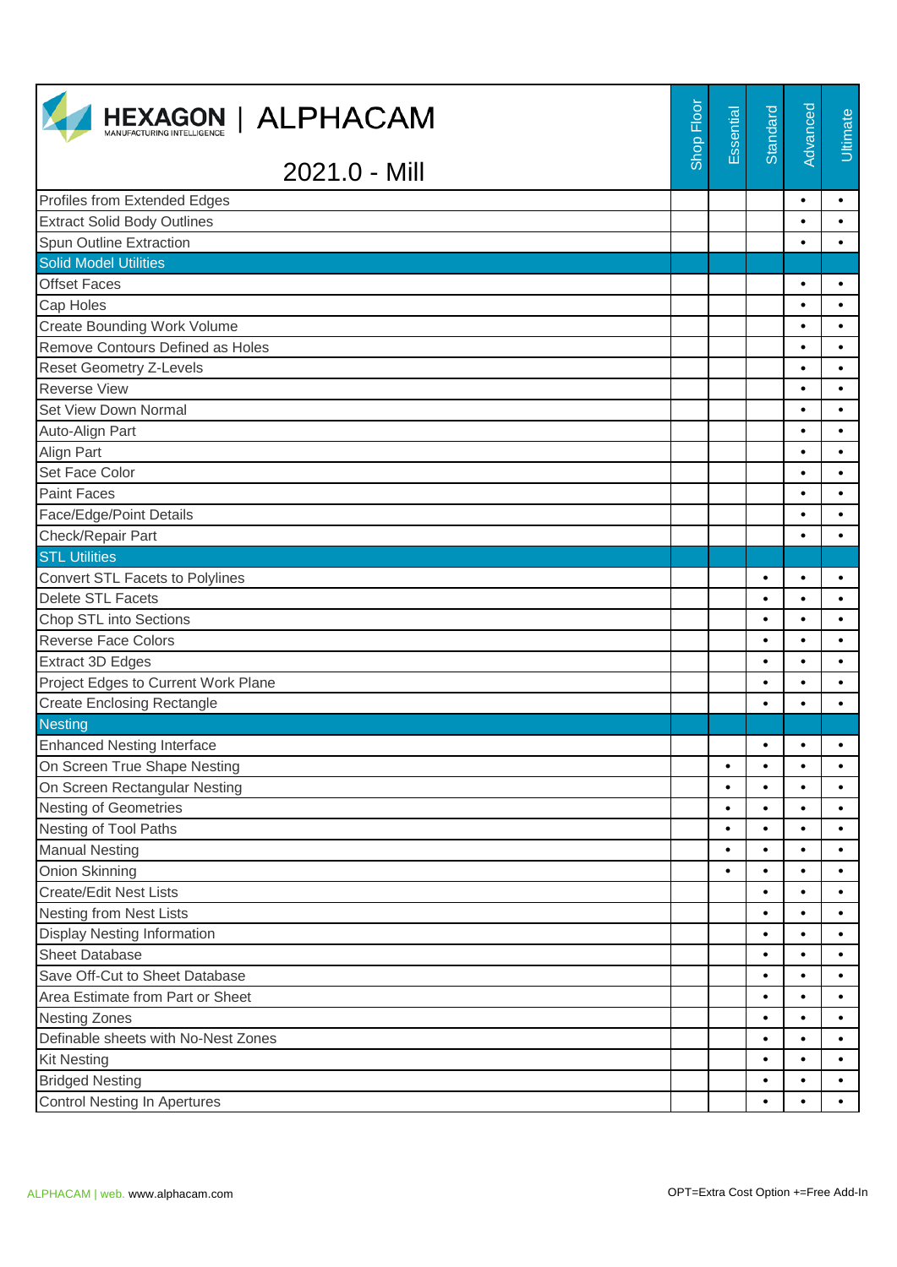| <b>HEXAGON   ALPHACAM</b>           | Shop Floor | Essential | Standard  | Advanced  | <b>Ultimate</b> |
|-------------------------------------|------------|-----------|-----------|-----------|-----------------|
| 2021.0 - Mill                       |            |           |           |           |                 |
| Profiles from Extended Edges        |            |           |           | $\bullet$ | $\bullet$       |
| <b>Extract Solid Body Outlines</b>  |            |           |           | $\bullet$ | $\bullet$       |
| Spun Outline Extraction             |            |           |           | $\bullet$ | $\bullet$       |
| <b>Solid Model Utilities</b>        |            |           |           |           |                 |
| <b>Offset Faces</b>                 |            |           |           | $\bullet$ | $\bullet$       |
| Cap Holes                           |            |           |           | $\bullet$ | $\bullet$       |
| <b>Create Bounding Work Volume</b>  |            |           |           | $\bullet$ | $\bullet$       |
| Remove Contours Defined as Holes    |            |           |           | $\bullet$ | $\bullet$       |
| <b>Reset Geometry Z-Levels</b>      |            |           |           | $\bullet$ | $\bullet$       |
| <b>Reverse View</b>                 |            |           |           | $\bullet$ | $\bullet$       |
| Set View Down Normal                |            |           |           | $\bullet$ | $\bullet$       |
| Auto-Align Part                     |            |           |           | $\bullet$ | $\bullet$       |
| <b>Align Part</b>                   |            |           |           | $\bullet$ | $\bullet$       |
| Set Face Color                      |            |           |           | $\bullet$ | $\bullet$       |
| <b>Paint Faces</b>                  |            |           |           | $\bullet$ | $\bullet$       |
| Face/Edge/Point Details             |            |           |           | $\bullet$ | $\bullet$       |
| Check/Repair Part                   |            |           |           | $\bullet$ | $\bullet$       |
| <b>STL Utilities</b>                |            |           |           |           |                 |
| Convert STL Facets to Polylines     |            |           | $\bullet$ | $\bullet$ | $\bullet$       |
| <b>Delete STL Facets</b>            |            |           | $\bullet$ | $\bullet$ | $\bullet$       |
| Chop STL into Sections              |            |           | $\bullet$ | $\bullet$ | $\bullet$       |
| <b>Reverse Face Colors</b>          |            |           | $\bullet$ | $\bullet$ | $\bullet$       |
| <b>Extract 3D Edges</b>             |            |           | $\bullet$ | $\bullet$ | $\bullet$       |
| Project Edges to Current Work Plane |            |           | $\bullet$ | $\bullet$ | $\bullet$       |
| <b>Create Enclosing Rectangle</b>   |            |           | $\bullet$ | $\bullet$ | $\bullet$       |
| <b>Nesting</b>                      |            |           |           |           |                 |
| <b>Enhanced Nesting Interface</b>   |            |           | $\bullet$ |           |                 |
| On Screen True Shape Nesting        |            | ٠         | $\bullet$ | $\bullet$ | $\bullet$       |
| On Screen Rectangular Nesting       |            | $\bullet$ | $\bullet$ | $\bullet$ | $\bullet$       |
| <b>Nesting of Geometries</b>        |            | $\bullet$ | $\bullet$ | $\bullet$ | $\bullet$       |
| Nesting of Tool Paths               |            | $\bullet$ | $\bullet$ | $\bullet$ | $\bullet$       |
| <b>Manual Nesting</b>               |            | $\bullet$ | $\bullet$ | $\bullet$ | $\bullet$       |
| Onion Skinning                      |            | $\bullet$ | $\bullet$ | $\bullet$ | ٠               |
| <b>Create/Edit Nest Lists</b>       |            |           | $\bullet$ | $\bullet$ | $\bullet$       |
| <b>Nesting from Nest Lists</b>      |            |           | $\bullet$ | $\bullet$ | $\bullet$       |
| <b>Display Nesting Information</b>  |            |           | $\bullet$ | $\bullet$ | ٠               |
| <b>Sheet Database</b>               |            |           | $\bullet$ | $\bullet$ | $\bullet$       |
| Save Off-Cut to Sheet Database      |            |           | $\bullet$ | $\bullet$ | $\bullet$       |
| Area Estimate from Part or Sheet    |            |           | $\bullet$ | $\bullet$ | $\bullet$       |
| <b>Nesting Zones</b>                |            |           | $\bullet$ | $\bullet$ | $\bullet$       |
| Definable sheets with No-Nest Zones |            |           | $\bullet$ | $\bullet$ | $\bullet$       |
| <b>Kit Nesting</b>                  |            |           | $\bullet$ | $\bullet$ | $\bullet$       |
| <b>Bridged Nesting</b>              |            |           | $\bullet$ | $\bullet$ | $\bullet$       |
| <b>Control Nesting In Apertures</b> |            |           | $\bullet$ | $\bullet$ | $\bullet$       |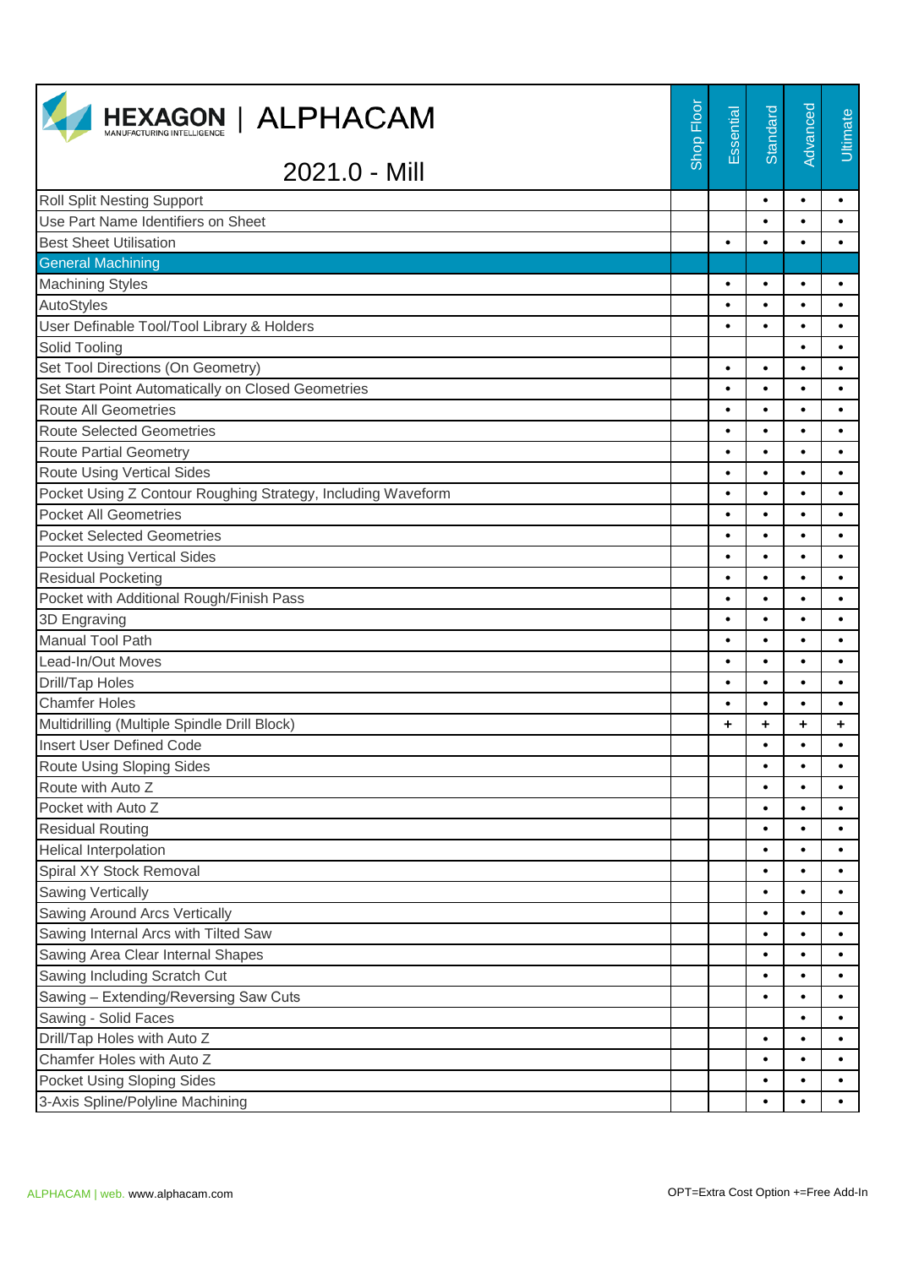| <b>HEXAGON   ALPHACAM</b>                                    | Shop Floor | Essential | Standard  | Advanced  | Ultimate  |
|--------------------------------------------------------------|------------|-----------|-----------|-----------|-----------|
| 2021.0 - Mill                                                |            |           |           |           |           |
| <b>Roll Split Nesting Support</b>                            |            |           | $\bullet$ | $\bullet$ | $\bullet$ |
| Use Part Name Identifiers on Sheet                           |            |           | $\bullet$ | $\bullet$ | $\bullet$ |
| <b>Best Sheet Utilisation</b>                                |            | $\bullet$ | $\bullet$ | $\bullet$ | $\bullet$ |
| <b>General Machining</b>                                     |            |           |           |           |           |
| <b>Machining Styles</b>                                      |            |           | $\bullet$ | $\bullet$ | ٠         |
| AutoStyles                                                   |            | $\bullet$ | $\bullet$ | $\bullet$ | $\bullet$ |
| User Definable Tool/Tool Library & Holders                   |            | $\bullet$ | $\bullet$ | $\bullet$ | $\bullet$ |
| Solid Tooling                                                |            |           |           | $\bullet$ | $\bullet$ |
| Set Tool Directions (On Geometry)                            |            | $\bullet$ | $\bullet$ | $\bullet$ | $\bullet$ |
| Set Start Point Automatically on Closed Geometries           |            | $\bullet$ | $\bullet$ | $\bullet$ | $\bullet$ |
| <b>Route All Geometries</b>                                  |            | $\bullet$ | $\bullet$ | $\bullet$ | $\bullet$ |
| <b>Route Selected Geometries</b>                             |            | $\bullet$ | $\bullet$ | $\bullet$ | $\bullet$ |
| <b>Route Partial Geometry</b>                                |            | $\bullet$ | $\bullet$ | $\bullet$ | $\bullet$ |
| <b>Route Using Vertical Sides</b>                            |            | $\bullet$ | $\bullet$ | $\bullet$ | $\bullet$ |
| Pocket Using Z Contour Roughing Strategy, Including Waveform |            | $\bullet$ | $\bullet$ | $\bullet$ | $\bullet$ |
| <b>Pocket All Geometries</b>                                 |            | $\bullet$ | $\bullet$ | $\bullet$ | $\bullet$ |
| <b>Pocket Selected Geometries</b>                            |            | $\bullet$ | $\bullet$ | $\bullet$ | $\bullet$ |
| <b>Pocket Using Vertical Sides</b>                           |            | ٠         | $\bullet$ | $\bullet$ | $\bullet$ |
| <b>Residual Pocketing</b>                                    |            | $\bullet$ | $\bullet$ | $\bullet$ | $\bullet$ |
| Pocket with Additional Rough/Finish Pass                     |            | $\bullet$ | $\bullet$ | $\bullet$ | $\bullet$ |
| 3D Engraving                                                 |            | $\bullet$ | $\bullet$ | $\bullet$ | $\bullet$ |
| <b>Manual Tool Path</b>                                      |            | $\bullet$ | $\bullet$ | $\bullet$ | $\bullet$ |
| Lead-In/Out Moves                                            |            | $\bullet$ | $\bullet$ | $\bullet$ | $\bullet$ |
| Drill/Tap Holes                                              |            | $\bullet$ | $\bullet$ | $\bullet$ | $\bullet$ |
| <b>Chamfer Holes</b>                                         |            | $\bullet$ | $\bullet$ | $\bullet$ | $\bullet$ |
| Multidrilling (Multiple Spindle Drill Block)                 |            | ٠         | ÷         | ٠         | ٠         |
| <b>Insert User Defined Code</b>                              |            |           |           |           |           |
| Route Using Sloping Sides                                    |            |           | $\bullet$ | $\bullet$ | $\bullet$ |
| Route with Auto Z                                            |            |           | $\bullet$ | $\bullet$ | $\bullet$ |
| Pocket with Auto Z                                           |            |           | $\bullet$ | $\bullet$ | $\bullet$ |
| <b>Residual Routing</b>                                      |            |           | $\bullet$ | $\bullet$ | $\bullet$ |
| Helical Interpolation                                        |            |           | $\bullet$ | $\bullet$ | $\bullet$ |
| Spiral XY Stock Removal                                      |            |           | $\bullet$ | $\bullet$ |           |
| <b>Sawing Vertically</b>                                     |            |           | $\bullet$ | $\bullet$ | $\bullet$ |
| Sawing Around Arcs Vertically                                |            |           | $\bullet$ | $\bullet$ | $\bullet$ |
| Sawing Internal Arcs with Tilted Saw                         |            |           | $\bullet$ | $\bullet$ |           |
| Sawing Area Clear Internal Shapes                            |            |           | $\bullet$ | $\bullet$ | $\bullet$ |
| Sawing Including Scratch Cut                                 |            |           | $\bullet$ | $\bullet$ | $\bullet$ |
| Sawing - Extending/Reversing Saw Cuts                        |            |           | $\bullet$ | ٠         |           |
| Sawing - Solid Faces                                         |            |           |           | $\bullet$ | $\bullet$ |
| Drill/Tap Holes with Auto Z                                  |            |           | $\bullet$ | $\bullet$ | $\bullet$ |
| Chamfer Holes with Auto Z                                    |            |           | $\bullet$ | $\bullet$ |           |
| Pocket Using Sloping Sides                                   |            |           | $\bullet$ | $\bullet$ | $\bullet$ |
| 3-Axis Spline/Polyline Machining                             |            |           | $\bullet$ |           | $\bullet$ |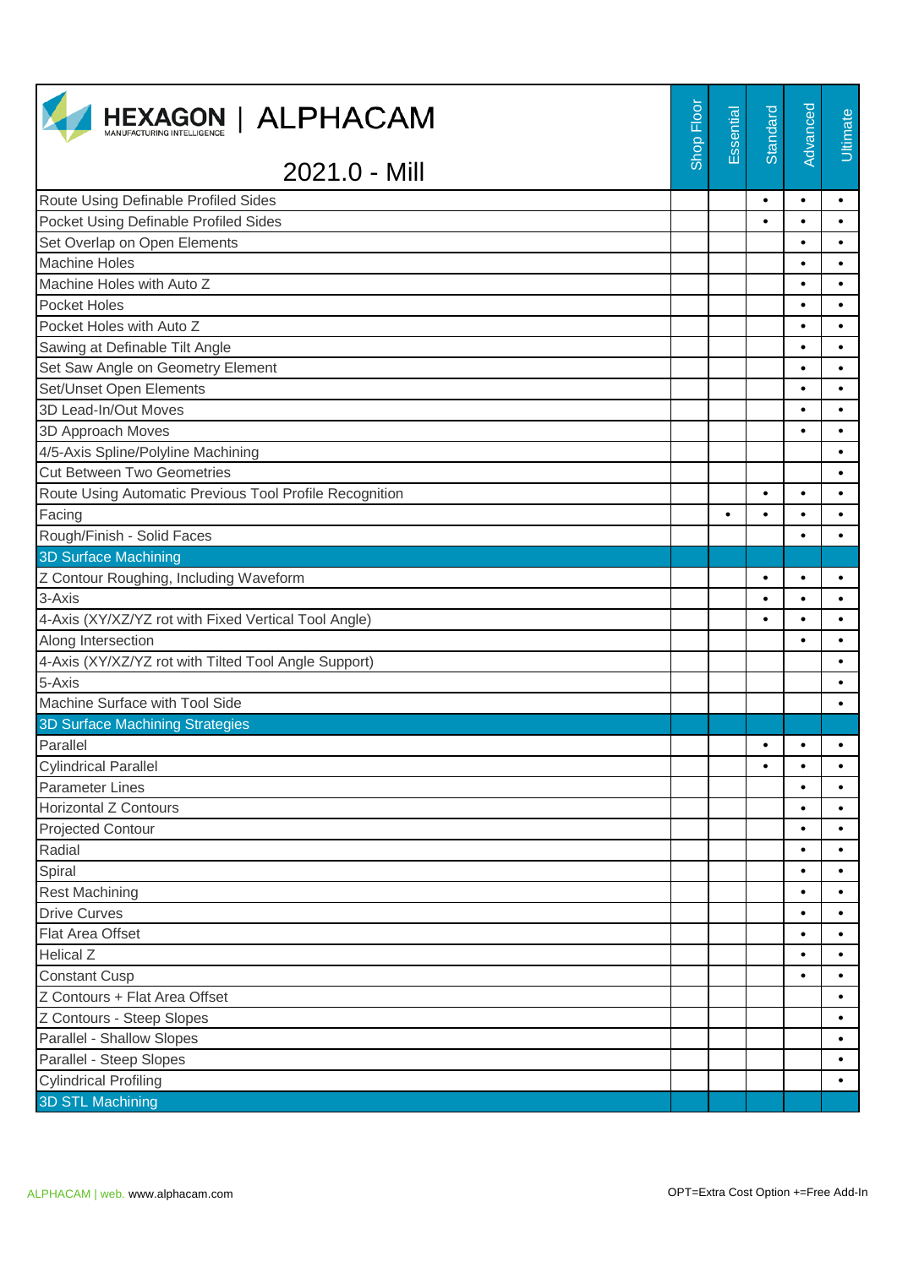| <b>HEXAGON   ALPHACAM</b>                               | Shop Floor | Essential | Standard  | Advanced  | Ultimate  |
|---------------------------------------------------------|------------|-----------|-----------|-----------|-----------|
| 2021.0 - Mill                                           |            |           |           |           |           |
| Route Using Definable Profiled Sides                    |            |           | $\bullet$ | $\bullet$ | $\bullet$ |
| Pocket Using Definable Profiled Sides                   |            |           | $\bullet$ | $\bullet$ | $\bullet$ |
| Set Overlap on Open Elements                            |            |           |           | $\bullet$ | $\bullet$ |
| <b>Machine Holes</b>                                    |            |           |           | $\bullet$ | $\bullet$ |
| Machine Holes with Auto Z                               |            |           |           | $\bullet$ | $\bullet$ |
| Pocket Holes                                            |            |           |           | $\bullet$ | $\bullet$ |
| Pocket Holes with Auto Z                                |            |           |           | $\bullet$ | $\bullet$ |
| Sawing at Definable Tilt Angle                          |            |           |           | $\bullet$ | $\bullet$ |
| Set Saw Angle on Geometry Element                       |            |           |           | $\bullet$ | $\bullet$ |
| Set/Unset Open Elements                                 |            |           |           | $\bullet$ | $\bullet$ |
| 3D Lead-In/Out Moves                                    |            |           |           | $\bullet$ | $\bullet$ |
| 3D Approach Moves                                       |            |           |           | $\bullet$ | $\bullet$ |
| 4/5-Axis Spline/Polyline Machining                      |            |           |           |           | $\bullet$ |
| <b>Cut Between Two Geometries</b>                       |            |           |           |           | $\bullet$ |
| Route Using Automatic Previous Tool Profile Recognition |            |           | $\bullet$ | $\bullet$ | $\bullet$ |
| Facing                                                  |            | $\bullet$ | $\bullet$ | $\bullet$ | $\bullet$ |
| Rough/Finish - Solid Faces                              |            |           |           | $\bullet$ | $\bullet$ |
| <b>3D Surface Machining</b>                             |            |           |           |           |           |
| Z Contour Roughing, Including Waveform                  |            |           | $\bullet$ | $\bullet$ | $\bullet$ |
| 3-Axis                                                  |            |           | $\bullet$ | $\bullet$ | $\bullet$ |
| 4-Axis (XY/XZ/YZ rot with Fixed Vertical Tool Angle)    |            |           | $\bullet$ | $\bullet$ |           |
| Along Intersection                                      |            |           |           |           | $\bullet$ |
| 4-Axis (XY/XZ/YZ rot with Tilted Tool Angle Support)    |            |           |           |           | $\bullet$ |
| 5-Axis                                                  |            |           |           |           | $\bullet$ |
| Machine Surface with Tool Side                          |            |           |           |           | $\bullet$ |
| <b>3D Surface Machining Strategies</b>                  |            |           |           |           |           |
| Parallel                                                |            |           | $\bullet$ |           |           |
| <b>Cylindrical Parallel</b>                             |            |           | $\bullet$ | ٠         | $\bullet$ |
| <b>Parameter Lines</b>                                  |            |           |           | $\bullet$ | $\bullet$ |
| <b>Horizontal Z Contours</b>                            |            |           |           | $\bullet$ | $\bullet$ |
| <b>Projected Contour</b>                                |            |           |           | $\bullet$ | $\bullet$ |
| Radial                                                  |            |           |           | $\bullet$ | $\bullet$ |
| Spiral                                                  |            |           |           | ٠         | $\bullet$ |
| <b>Rest Machining</b>                                   |            |           |           | $\bullet$ | $\bullet$ |
| <b>Drive Curves</b>                                     |            |           |           | $\bullet$ | $\bullet$ |
| Flat Area Offset                                        |            |           |           | $\bullet$ | $\bullet$ |
| <b>Helical Z</b>                                        |            |           |           | $\bullet$ | $\bullet$ |
| <b>Constant Cusp</b>                                    |            |           |           |           | $\bullet$ |
| Z Contours + Flat Area Offset                           |            |           |           |           | $\bullet$ |
| Z Contours - Steep Slopes                               |            |           |           |           | $\bullet$ |
| Parallel - Shallow Slopes                               |            |           |           |           | $\bullet$ |
| Parallel - Steep Slopes                                 |            |           |           |           | $\bullet$ |
| <b>Cylindrical Profiling</b>                            |            |           |           |           | $\bullet$ |
| <b>3D STL Machining</b>                                 |            |           |           |           |           |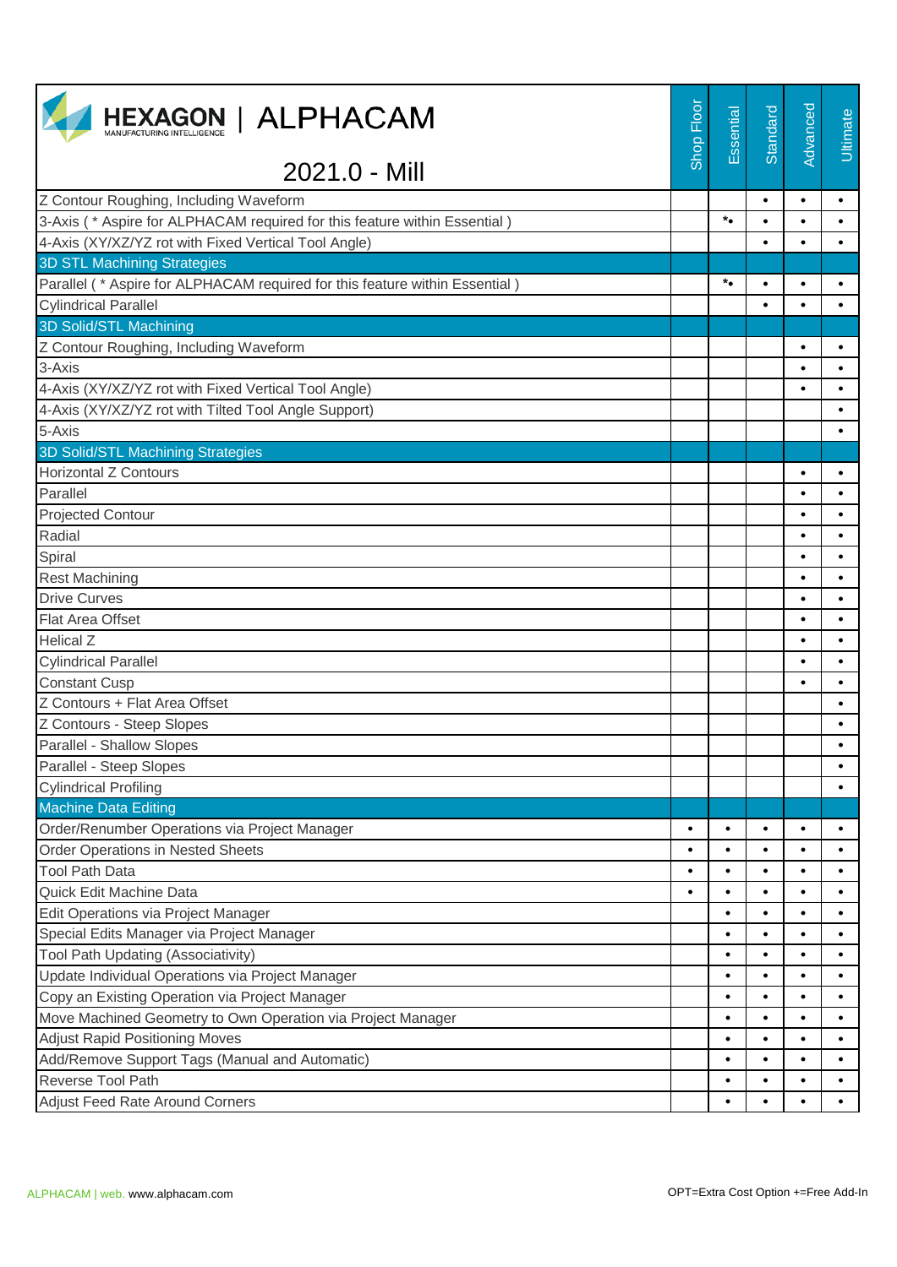| <b>HEXAGON   ALPHACAM</b>                                                   | Shop Floor | Essential       | Standard  | Advanced  | <b>Ultimate</b> |
|-----------------------------------------------------------------------------|------------|-----------------|-----------|-----------|-----------------|
| 2021.0 - Mill                                                               |            |                 |           |           |                 |
| Z Contour Roughing, Including Waveform                                      |            |                 | $\bullet$ | $\bullet$ | $\bullet$       |
| 3-Axis (* Aspire for ALPHACAM required for this feature within Essential)   |            | $\star_\bullet$ | $\bullet$ | $\bullet$ | $\bullet$       |
| 4-Axis (XY/XZ/YZ rot with Fixed Vertical Tool Angle)                        |            |                 | $\bullet$ | $\bullet$ | $\bullet$       |
| <b>3D STL Machining Strategies</b>                                          |            |                 |           |           |                 |
| Parallel (* Aspire for ALPHACAM required for this feature within Essential) |            | $\star_\bullet$ | $\bullet$ | $\bullet$ | $\bullet$       |
| <b>Cylindrical Parallel</b>                                                 |            |                 | $\bullet$ | $\bullet$ | $\bullet$       |
| 3D Solid/STL Machining                                                      |            |                 |           |           |                 |
| Z Contour Roughing, Including Waveform                                      |            |                 |           | $\bullet$ | $\bullet$       |
| 3-Axis                                                                      |            |                 |           | $\bullet$ | $\bullet$       |
| 4-Axis (XY/XZ/YZ rot with Fixed Vertical Tool Angle)                        |            |                 |           |           | $\bullet$       |
| 4-Axis (XY/XZ/YZ rot with Tilted Tool Angle Support)                        |            |                 |           |           | $\bullet$       |
| 5-Axis                                                                      |            |                 |           |           | $\bullet$       |
| 3D Solid/STL Machining Strategies                                           |            |                 |           |           |                 |
| <b>Horizontal Z Contours</b>                                                |            |                 |           | $\bullet$ | $\bullet$       |
| Parallel                                                                    |            |                 |           |           | $\bullet$       |
| <b>Projected Contour</b>                                                    |            |                 |           | $\bullet$ | $\bullet$       |
| Radial                                                                      |            |                 |           |           |                 |
| Spiral                                                                      |            |                 |           | $\bullet$ | $\bullet$       |
| <b>Rest Machining</b>                                                       |            |                 |           | $\bullet$ | $\bullet$       |
| <b>Drive Curves</b>                                                         |            |                 |           | ٠         |                 |
| Flat Area Offset                                                            |            |                 |           | $\bullet$ | $\bullet$       |
| <b>Helical Z</b>                                                            |            |                 |           | $\bullet$ | $\bullet$       |
| <b>Cylindrical Parallel</b>                                                 |            |                 |           | ٠         |                 |
| <b>Constant Cusp</b>                                                        |            |                 |           | $\bullet$ | $\bullet$       |
| Z Contours + Flat Area Offset                                               |            |                 |           |           | $\bullet$       |
| Z Contours - Steep Slopes                                                   |            |                 |           |           | ٠               |
| Parallel - Shallow Slopes                                                   |            |                 |           |           | $\bullet$       |
| Parallel - Steep Slopes                                                     |            |                 |           |           |                 |
| <b>Cylindrical Profiling</b>                                                |            |                 |           |           |                 |
| <b>Machine Data Editing</b>                                                 |            |                 |           |           |                 |
| Order/Renumber Operations via Project Manager                               | $\bullet$  |                 | $\bullet$ | $\bullet$ | $\bullet$       |
| <b>Order Operations in Nested Sheets</b>                                    | $\bullet$  | $\bullet$       | $\bullet$ | $\bullet$ | $\bullet$       |
| <b>Tool Path Data</b>                                                       | ٠          | ٠               | $\bullet$ | ٠         | ٠               |
| Quick Edit Machine Data                                                     | $\bullet$  | ٠               | $\bullet$ | $\bullet$ | $\bullet$       |
| Edit Operations via Project Manager                                         |            | $\bullet$       | $\bullet$ | $\bullet$ | $\bullet$       |
| Special Edits Manager via Project Manager                                   |            | $\bullet$       | $\bullet$ | $\bullet$ | ٠               |
| Tool Path Updating (Associativity)                                          |            | $\bullet$       | $\bullet$ | $\bullet$ | $\bullet$       |
| Update Individual Operations via Project Manager                            |            |                 | $\bullet$ | $\bullet$ | ٠               |
| Copy an Existing Operation via Project Manager                              |            | $\bullet$       | $\bullet$ | $\bullet$ | $\bullet$       |
| Move Machined Geometry to Own Operation via Project Manager                 |            | $\bullet$       | $\bullet$ | $\bullet$ | $\bullet$       |
| <b>Adjust Rapid Positioning Moves</b>                                       |            | ٠               | $\bullet$ | $\bullet$ | $\bullet$       |
| Add/Remove Support Tags (Manual and Automatic)                              |            |                 | $\bullet$ | $\bullet$ |                 |
| Reverse Tool Path                                                           |            |                 | $\bullet$ | $\bullet$ | $\bullet$       |
| Adjust Feed Rate Around Corners                                             |            |                 | $\bullet$ | $\bullet$ | $\bullet$       |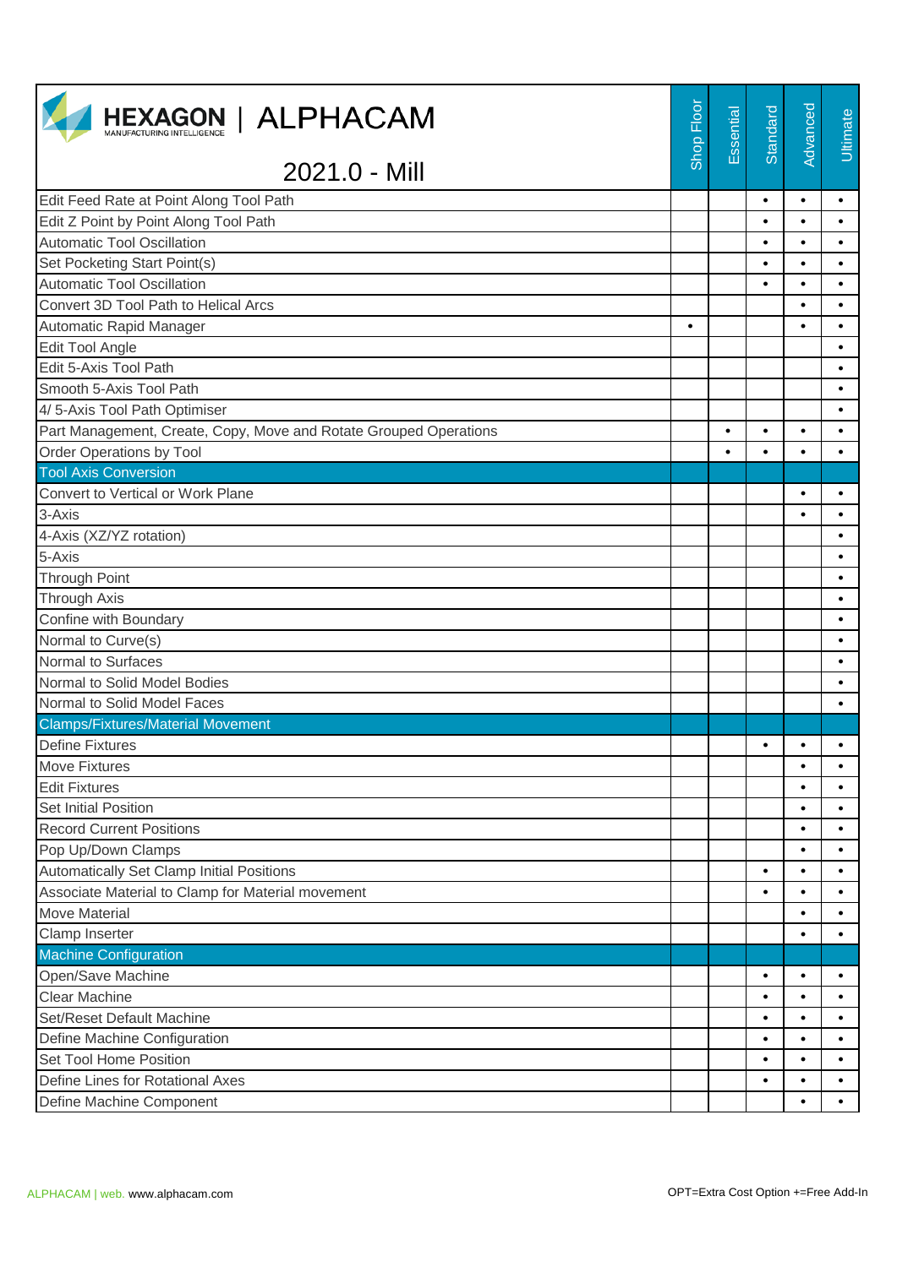| <b>HEXAGON   ALPHACAM</b>                                         | Shop Floor | Essential | Standard  | Advanced  | <b>Ultimate</b> |
|-------------------------------------------------------------------|------------|-----------|-----------|-----------|-----------------|
| 2021.0 - Mill                                                     |            |           |           |           |                 |
| Edit Feed Rate at Point Along Tool Path                           |            |           | $\bullet$ | $\bullet$ | $\bullet$       |
| Edit Z Point by Point Along Tool Path                             |            |           | $\bullet$ | $\bullet$ | $\bullet$       |
| <b>Automatic Tool Oscillation</b>                                 |            |           | $\bullet$ | $\bullet$ | $\bullet$       |
| Set Pocketing Start Point(s)                                      |            |           | $\bullet$ | $\bullet$ | $\bullet$       |
| <b>Automatic Tool Oscillation</b>                                 |            |           | $\bullet$ | $\bullet$ | $\bullet$       |
| Convert 3D Tool Path to Helical Arcs                              |            |           |           | $\bullet$ | $\bullet$       |
| Automatic Rapid Manager                                           | $\bullet$  |           |           | $\bullet$ | $\bullet$       |
| <b>Edit Tool Angle</b>                                            |            |           |           |           | $\bullet$       |
| Edit 5-Axis Tool Path                                             |            |           |           |           | $\bullet$       |
| Smooth 5-Axis Tool Path                                           |            |           |           |           | $\bullet$       |
| 4/5-Axis Tool Path Optimiser                                      |            |           |           |           | $\bullet$       |
| Part Management, Create, Copy, Move and Rotate Grouped Operations |            | $\bullet$ | $\bullet$ | $\bullet$ | $\bullet$       |
| Order Operations by Tool                                          |            | $\bullet$ | $\bullet$ | $\bullet$ | $\bullet$       |
| <b>Tool Axis Conversion</b>                                       |            |           |           |           |                 |
| Convert to Vertical or Work Plane                                 |            |           |           | $\bullet$ | $\bullet$       |
| 3-Axis                                                            |            |           |           | $\bullet$ | $\bullet$       |
| 4-Axis (XZ/YZ rotation)                                           |            |           |           |           | $\bullet$       |
| 5-Axis                                                            |            |           |           |           | $\bullet$       |
| <b>Through Point</b>                                              |            |           |           |           | $\bullet$       |
| <b>Through Axis</b>                                               |            |           |           |           | $\bullet$       |
| Confine with Boundary                                             |            |           |           |           | $\bullet$       |
| Normal to Curve(s)                                                |            |           |           |           | $\bullet$       |
| Normal to Surfaces                                                |            |           |           |           | $\bullet$       |
| Normal to Solid Model Bodies                                      |            |           |           |           | $\bullet$       |
| Normal to Solid Model Faces                                       |            |           |           |           | $\bullet$       |
| <b>Clamps/Fixtures/Material Movement</b>                          |            |           |           |           |                 |
| <b>Define Fixtures</b>                                            |            |           | $\bullet$ |           |                 |
| <b>Move Fixtures</b>                                              |            |           |           | $\bullet$ | $\bullet$       |
| <b>Edit Fixtures</b>                                              |            |           |           | $\bullet$ | $\bullet$       |
| <b>Set Initial Position</b>                                       |            |           |           | $\bullet$ | $\bullet$       |
| <b>Record Current Positions</b>                                   |            |           |           | $\bullet$ | $\bullet$       |
| Pop Up/Down Clamps                                                |            |           |           | $\bullet$ | $\bullet$       |
| Automatically Set Clamp Initial Positions                         |            |           | $\bullet$ | $\bullet$ | ٠               |
| Associate Material to Clamp for Material movement                 |            |           | $\bullet$ | $\bullet$ | $\bullet$       |
| <b>Move Material</b>                                              |            |           |           | $\bullet$ | $\bullet$       |
| Clamp Inserter                                                    |            |           |           | $\bullet$ | $\bullet$       |
| <b>Machine Configuration</b>                                      |            |           |           |           |                 |
| Open/Save Machine                                                 |            |           | $\bullet$ | $\bullet$ | $\bullet$       |
| Clear Machine                                                     |            |           | $\bullet$ | $\bullet$ | $\bullet$       |
| Set/Reset Default Machine                                         |            |           | $\bullet$ | $\bullet$ | $\bullet$       |
| Define Machine Configuration                                      |            |           | $\bullet$ | $\bullet$ | $\bullet$       |
| Set Tool Home Position                                            |            |           | $\bullet$ | $\bullet$ | $\bullet$       |
| Define Lines for Rotational Axes                                  |            |           | $\bullet$ | $\bullet$ | $\bullet$       |
| Define Machine Component                                          |            |           |           | $\bullet$ | $\bullet$       |